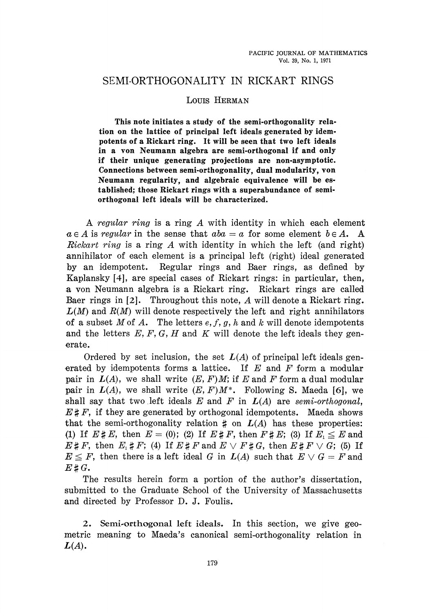# SEMI-ORTHOGONALITY IN RICKART RINGS

## Louis HERMAN

**This note initiates a study of the semi-orthogonality rela tion on the lattice of principal left ideals generated by idem potents of a Rickart ring. It will be seen that two left ideals in a von Neumann algebra are semi-orthogonal if and only if their unique generating projections are non-asymptotic. Connections between semi-orthogonality, dual modularity, von Neumann regularity, and algebraic equivalence will be es tablished; those Rickart rings with a superabundance of semi orthogonal left ideals will be characterized.**

A *regular ring* is a ring *A* with identity in which each element  $a \in A$  is *regular* in the sense that  $aba = a$  for some element  $b \in A$ . A *Rickart ring* is a ring *A* with identity in which the left (and right) annihilator of each element is a principal left (right) ideal generated by an idempotent. Regular rings and Baer rings, as defined by Kaplansky [4], are special cases of Rickart rings: in particular, then, a von Neumann algebra is a Rickart ring. Rickart rings are called Baer rings in [2]. Throughout this note, *A* will denote a Rickart ring,  $L(M)$  and  $R(M)$  will denote respectively the left and right annihilators of a subset *M* of *A.* The letters *e,f, g, h* and *k* will denote idempotents and the letters *E, F, G, H* and *K* will denote the left ideals they gen erate.

Ordered by set inclusion, the set  $L(A)$  of principal left ideals generated by idempotents forms a lattice. If *E* and *F* form a modular pair in  $L(A)$ , we shall write  $(E, F)M$ ; if E and F form a dual modular pair in  $L(A)$ , we shall write  $(E, F)M^*$ . Following S. Maeda [6], we shall say that two left ideals *E* and *F* in *L(A)* are *semi-orthogonal, E# F,* if they are generated by orthogonal idempotents. Maeda shows that the semi-orthogonality relation  $\sharp$  on  $L(A)$  has these properties: (1) If  $E \sharp E$ , then  $E = (0)$ ; (2) If  $E \sharp F$ , then  $F \sharp E$ ; (3) If  $E_1 \leq E$  and  $E \sharp F$ , then  $E_i \sharp F$ ; (4) If  $E \sharp F$  and  $E \vee F \sharp G$ , then  $E \sharp F \vee G$ ; (5) If  $E \leq F$ , then there is a left ideal *G* in  $L(A)$  such that  $E \vee G = F$  and  $E \sharp G.$ 

The results herein form a portion of the author's dissertation, submitted to the Graduate School of the University of Massachusetts and directed by Professor D. J. Foulis.

2. Semi-orthogonal left ideals. In this section, we give geometric meaning to Maeda's canonical semi-orthogonality relation in *L(A).*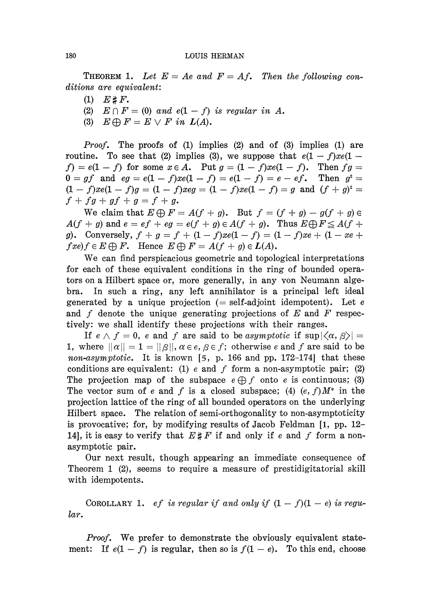### 180 LOUIS HERMAN

**THEOREM 1.** Let  $E = Ae$  and  $F = Af$ . Then the following con*ditions are equivalent:*

- $(1)$   $E \# F$ .
- (2)  $E \cap F = (0)$  and  $e(1 f)$  is regular in A.
- (3)  $E \oplus F = E \vee F$  in  $L(A)$ .

*Proof.* The proofs of (1) implies (2) and of (3) implies (1) are routine. To see that (2) implies (3), we suppose that  $e(1-f)xe(1-f)$  $(f) = e(1-f)$  for some  $x \in A$ . Put  $g = (1-f)xe(1-f)$ . Then  $fg = f$  $2 =$  $0 = gf$  and  $eg = e(1 - f)xe(1 - f) = e(1 - f) = e - ef.$  $(1 - f)xe(1 - f)g = (1 - f)xeg = (1 - f)xe(1 - f) = g$  and  $(f + g)^2 =$  $f + fg + gf + g = f + g.$ 

We claim that  $E \bigoplus F = A(f + g)$ . But  $f = (f + g) - g(f + g) \in$  $A(f + g)$  and  $e = ef + eg = e(f + g) \in A(f + g)$ . Thus  $E \bigoplus F \leq A(f + g)$ *g*). Conversely,  $f + g = f + (1 - f)xe(1 - f) = (1 - f)xe + (1 - xe + f)$  $fxe)f \in E \bigoplus F$ . Hence  $E \bigoplus F = A(f + g) \in L(A)$ .

We can find perspicacious geometric and topological interpretations for each of these equivalent conditions in the ring of bounded opera tors on a Hubert space or, more generally, in any von Neumann alge bra. In such a ring, any left annihilator is a principal left ideal generated by a unique projection (= self-ad joint idempotent). Let *e* and f denote the unique generating projections of E and F respectively: we shall identify these projections with their ranges.

If  $e \wedge f = 0$ , e and f are said to be asymptotic if  $\sup |\langle \alpha, \beta \rangle| =$ 1, where  $\|\alpha\| = 1 = \|\beta\|$ ,  $\alpha \in e$ ,  $\beta \in f$ ; otherwise *e* and f are said to be *non-asymptotic.* It is known [5, p. 166 and pp. 172-174] that these conditions are equivalent: (1)  $e$  and  $f$  form a non-asymptotic pair; (2) The projection map of the subspace  $e \oplus f$  onto *e* is continuous; (3) The vector sum of e and f is a closed subspace; (4)  $(e, f)M^*$  in the projection lattice of the ring of all bounded operators on the underlying Hilbert space. The relation of semi-orthogonality to non-asymptoticity is provocative; for, by modifying results of Jacob Feldman [1, pp. 12 14], it is easy to verify that  $E \sharp F$  if and only if e and f form a nonasymptotic pair.

Our next result, though appearing an immediate consequence of Theorem 1 (2), seems to require a measure of prestidigitatorial skill with idempotents.

COROLLARY 1. *ef is regular if and only if*  $(1 - f)(1 - e)$  is regu*lar.*

*Proof.* We prefer to demonstrate the obviously equivalent statement: If  $e(1-f)$  is regular, then so is  $f(1-e)$ . To this end, choose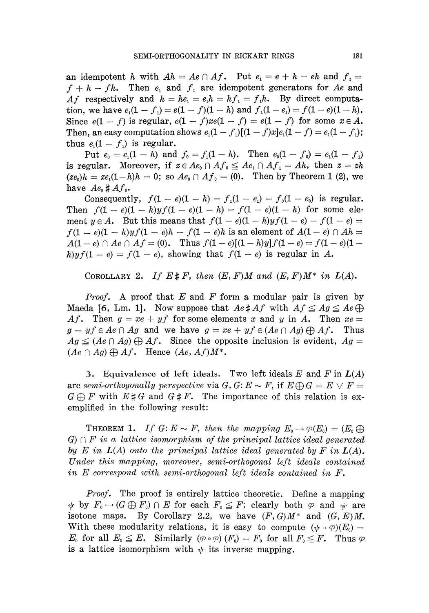an idempotent *h* with  $Ah = Ae \cap Af$ . Put  $e_1 = e + h - eh$  and  $f_1 =$  $f + h - fh$ . Then  $e_1$  and  $f_1$  are idempotent generators for Ae and *Af* respectively and  $h = he_1 = e_1h = hf_1 = f_1h$ . By direct computation, we have  $e_1(1 - f_1) = e(1 - f)(1 - h)$  and  $f_1(1 - e_1) = f(1 - e)(1 - h)$ . Since  $e(1-f)$  is regular,  $e(1-f)xe(1-f) = e(1-f)$  for some  $x \in A$ . Then, an easy computation shows  $e_1(1 - f_1)[(1 - f)x]e_1(1 - f) = e_1(1 - f_1)$ thus  $e_1(1-f_1)$  is regular.

 ${\rm Put}~~ e_{\scriptscriptstyle 0} = e_{\scriptscriptstyle 1}(1-h)~~{\rm and}~~ f_{\scriptscriptstyle 0} = f_{\scriptscriptstyle 1}(1-h).~~~{\rm Then}~~ e_{\scriptscriptstyle 0}(1-f_{\scriptscriptstyle 0}) = e_{\scriptscriptstyle 1}(1-f_{\scriptscriptstyle 1})$ is regular. Moreover, if  $z \in Ae_0 \cap Af_0 \leq Ae_1 \cap Af_1 = Ah$ , then  $z = zh$  $(ze_0)h = ze_1(1-h)h = 0$ ; so  $Ae_0 \cap Af_0 = (0)$ . Then by Theorem 1 (2), we have  $Ae_0 \sharp Af_0$ .

Consequently,  $f(1 - e)(1 - h) = f_1(1 - e_1) = f_0(1 - e_0)$  is regular. Then  $f(1 - e)(1 - h)yf(1 - e)(1 - h) = f(1 - e)(1 - h)$  for some element  $y \in A$ . But this means that  $f(1 - e)(1 - h)yf(1 - e) - f(1 - e) =$  $f(1 - e)(1 - h)yf(1 - e)h - f(1 - e)h$  is an element of  $A(1 - e) \cap Ah =$  $A(1-e) \cap Ae \cap Af = (0)$ . Thus  $f(1-e)[(1-h)y]f(1-e) = f(1-e)(1-e)$  $h$ )yf(1 – e) =  $f(1 - e)$ , showing that  $f(1 - e)$  is regular in A.

COROLLARY 2. If  $E \sharp F$ , then  $(E, F)M$  and  $(E, F)M^*$  in  $L(A)$ .

*Proof.* A proof that *E* and *F* form a modular pair is given by Maeda [6, Lm. 1]. Now suppose that  $Ae \sharp Af$  with  $Af \leq Ag \leq Ae \bigoplus$ Af. Then  $g = xe + yf$  for some elements x and y in A. Then  $xe =$  $g - yf \in Ae \cap Ag$  and we have  $g = xe + yf \in (Ae \cap Ag) \bigoplus Af$ . Thus  $Ag \leq (Ae \cap Ag) \bigoplus Af.$  Since the opposite inclusion is evident,  $Ag =$  $(Ae \cap Ag) \bigoplus Af$ . Hence  $(Ae, Af)M^*$ .

3. Equivalence of left ideals. Two left ideals  $E$  and  $F$  in  $L(A)$ are semi-orthogonally perspective via  $G, G: E \sim F$ , if  $E \oplus G = E \vee F =$  $G \oplus F$  with  $E \sharp G$  and  $G \sharp F$ . The importance of this relation is exemplified in the following result:

THEOREM 1. If  $G: E \sim F$ , then the mapping  $E_0 \rightarrow \varphi(E_0) = (E_0 \bigoplus$  $G \cap F$  is a lattice isomorphism of the principal lattice ideal generated *by E in L(A) onto the principal lattice ideal generated by F in L(A). Under this mapping, moreover, semi-orthogonal left ideals contained in E correspond with semi-orthogonal left ideals contained in F.*

*Proof.* The proof is entirely lattice theoretic. Define a mapping  $F_0 \to (G \bigoplus F_0) \cap E$  for each  $F_0 \leq F$ ; clearly both  $\varphi$  and  $\psi$  are isotone maps. By Corollary 2.2, we have  $(F, G)M^*$  and  $(G, E)M$ . With these modularity relations, it is easy to compute  $(\psi \circ \varphi)(E_0) =$ *E*<sub>0</sub> for all  $E_0 \leq E$ . Similarly  $(\varphi \circ \varphi)(F_0) = F_0$  for all  $F_0 \leq F$ . Thus  $\varphi$ is a lattice isomorphism with  $\psi$  its inverse mapping.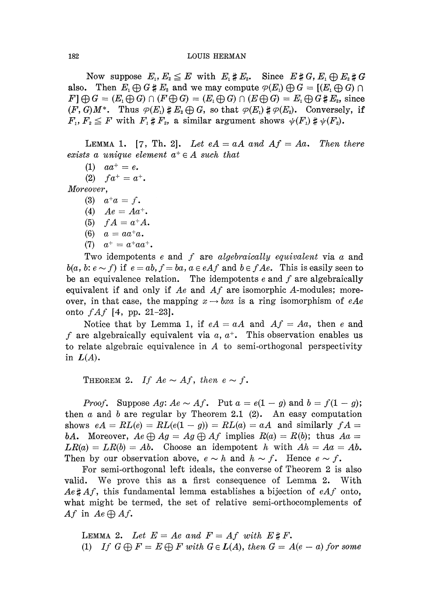Now suppose  $E_1, E_2 \leq E$  with  $E_1 \sharp E_2$ . Since also. Then  $E_1 \bigoplus G \sharp E_2$  and we may compute  $\varphi(E_1) \bigoplus G =$  [( $E_1 \bigoplus G$ )  $\cap$  $F \cap F \bigoplus G = (E_1 \bigoplus G) \cap (F \bigoplus G) = (E_1 \bigoplus G) \cap (E \bigoplus G) = E_1 \bigoplus G \sharp E_2$ , since  $(F, G)M^*$ . Thus  $\varphi(E_1) \sharp E_2 \bigoplus G$ , so that  $\varphi(E_1) \sharp \varphi(E_2)$ . Conversely, if  $F_1, F_2 \leq F$  with  $F_1 \sharp F_2$ , a similar argument shows

LEMMA 1. [7, Th. 2]. Let  $eA = aA$  and  $Af = Aa$ . Then there  $exists \ a \ unique \ element \ a^+ \in A \ such \ that$ 

 $(1)$   $aa^+ = e$ .

(2)  $fa^+ = a^+$ .

*Moreover,*

- (3)  $a^+a = f$ .
- (4)  $Ae = Aa^+$ .
- (5)  $fA = a^+A$ .
- (6)  $a = aa^+a$ .
- (7)  $a^+ = a^+ a a^+.$

Two idempotents *e* and / are *algebraically equivalent* via α and  $b(a, b: e \sim f)$  if  $e = ab, f = ba, a \in e \Lambda f$  and  $b \in f \Lambda e$ . This is easily seen to be an equivalence relation. The idempotents  $e$  and  $f$  are algebraically equivalent if and only if *Ae* and *Af* are isomorphic A-modules; more over, in that case, the mapping  $x \rightarrow bxa$  is a ring isomorphism of eAe onto *fAf* [4, pp. 21-23].

Notice that by Lemma 1, if  $eA = aA$  and  $Af = Aa$ , then e and / are algebraically equivalent via α, *a + .* This observation enables us to relate algebraic equivalence in  $A$  to semi-orthogonal perspectivity in  $L(A)$ .

THEOREM 2. If  $Ae \sim Af$ , then  $e \sim f$ .

*Proof.* Suppose  $Ag: Ae \sim Af$ . Put  $a = e(1 - g)$  and  $b = f(1 - g)$ ; then  $\alpha$  and  $\delta$  are regular by Theorem 2.1 (2). An easy computation shows  $eA = RL(e) = RL(e(1 - g)) = RL(a) = aA$  and similarly  $fA =$ *bA.* Moreover,  $Ae \oplus Ag = Ag \oplus Af$  implies  $R(a) = R(b)$ ; thus  $Aa =$  $LR(a) = LR(b) = Ab$ . Choose an idempotent h with  $Ah = Aa = Ab$ . Then by our observation above,  $e \sim h$  and  $h \sim f$ . Hence  $e \sim f$ .

For semi-orthogonal left ideals, the converse of Theorem 2 is also valid. We prove this as a first consequence of Lemma 2. With  $Ae \sharp Af$ , this fundamental lemma establishes a bijection of  $eAf$  onto, what might be termed, the set of relative semi-orthocomplements of Af in  $Ae \bigoplus Af$ .

LEMMA 2. Let  $E = Ae$  and  $F = Af$  with  $E \sharp F$ . (1) If  $G \oplus F = E \oplus F$  with  $G \in L(A)$ , then  $G = A(e - a)$  for some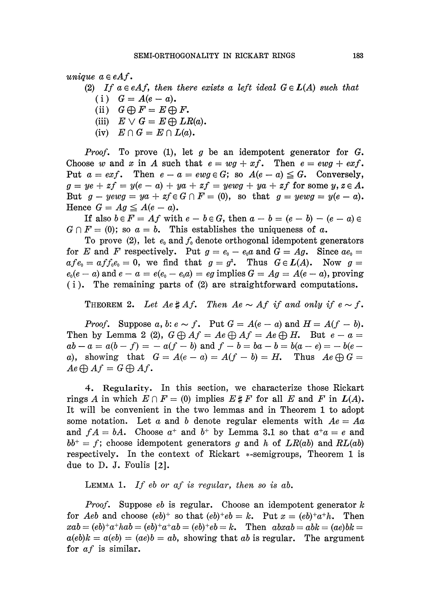*unique*  $a \in eAf$ .

(2) If  $a \in eAf$ , then there exists a left ideal  $G \in L(A)$  such that

- (i)  $G = A(e a)$ .
- (ii)  $G \bigoplus F = E \bigoplus F$ .
- (iii)  $E \vee G = E \bigoplus LR(a)$ .
- (iv)  $E \cap G = E \cap L(a)$ .

*Proof.* To prove (1), let *g* be an idempotent generator for *G.* Choose w and x in A such that  $e = wg + xf$ . Then  $e = ewg + exf$ . Put  $a = \epsilon x f$ . Then  $e - a = \epsilon w g \in G$ ; so  $A(e - a) \leq G$ . Conversely,  $g = ye + zf = y(e - a) + ya + zf = yewg + ya + zf$  for some  $y, z \in A$ . But  $g - yewg = ya + zf \in G \cap F = (0)$ , so that  $g = yewg = y(e - a)$ . Hence  $G = Ag \leq A(e - a)$ .

If also  $b \in F = Af$  with  $e - b \in G$ , then  $a - b = (e - b) - (e - a) \in$  $G \cap F = (0)$ ; so  $a = b$ . This establishes the uniqueness of a.

To prove  $(2)$ , let  $e_0$  and  $f_0$  denote orthogonal idempotent generators for *E* and *F* respectively. Put  $g = e_0 - e_0a$  and  $G = Ag$ . Since  $ae_0 =$  $afe_0 = aff_0e_0 = 0$ , we find that  $g = g^2$ . Thus  $G \in L(A)$ . Now  $g =$  $\mathbf{c}_0(e-a) \text{ and } e-a = e(e_{\scriptscriptstyle 0}-e_{\scriptscriptstyle 0}a) = eg \text{ implies } G = Ag = A(e-a), \text{ proving } \mathbf{c}_0 = e_{\scriptscriptstyle 0}a \text{ and } e = e_{\scriptscriptstyle 0}a \text{ and } e = e_{\scriptscriptstyle 0}a \text{ and } e = e_{\scriptscriptstyle 0}a \text{ and } e = e_{\scriptscriptstyle 0}a \text{ and } e = e_{\scriptscriptstyle 0}a \text{ and } e = e_{\scriptscriptstyle 0}a \text{ and } e = e_{\scriptscriptstyle 0}a \text{ and } e = e_{\scriptscriptstyle 0}a \text{ and } e =$ (i) . The remaining parts of (2) are straightforward computations.

**THEOREM 2.** Let  $Ae \# Af$ . Then  $Ae \sim Af$  if and only if  $e \sim f$ .

*Proof.* Suppose a, b:  $e \sim f$ . Put  $G = A(e - a)$  and  $H = A(f - b)$ . Then by Lemma 2 (2),  $G \oplus Af = Ae \oplus Af = Ae \oplus H$ . But  $e - a =$  $ab - a = a(b - f) = -a(f - b)$  and  $f - b = ba - b = b(a - e) = -b(e$ a), showing that  $G = A(e - a) = A(f - b) = H$ . Thus  $Ae \oplus G =$  $Ae \bigoplus Af = G \bigoplus Af.$ 

4. Regularity. In this section, we characterize those Rickart rings A in which  $E \cap F = (0)$  implies  $E \sharp F$  for all E and F in  $L(A)$ . It will be convenient in the two lemmas and in Theorem 1 to adopt some notation. Let *a* and δ denote regular elements with *Ae = Aa* and  $fA = bA$ . Choose  $a^+$  and  $b^+$  by Lemma 3.1 so that  $a^+a = e$  and  $bb^+ = f$ ; choose idempotent generators g and h of  $LR(ab)$  and  $RL(ab)$ respectively. In the context of Rickart \*-semigroups, Theorem 1 is due to D. J. Foulis [2].

LEMMA 1. *If eb or af is regular, then so is* αδ.

*Proof.* Suppose *eb* is regular. Choose an idempotent generator *k* for Aeb and choose  $(eb)^+$  so that  $(eb)^+e b = k$ . Put  $x = (eb)^+a^+h$ . Then  $\mathbf{a} \cdot \mathbf{b} = (eb)^+a^+hab = (eb)^+a^+ab = (eb)^+eb = k$ . Then  $ab\mathbf{a} \cdot \mathbf{b} = abk = (ae)bk = k$ .  $a(eb)k = a(eb) = (ae)b = ab$ , showing that ab is regular. The argument for *af* is similar.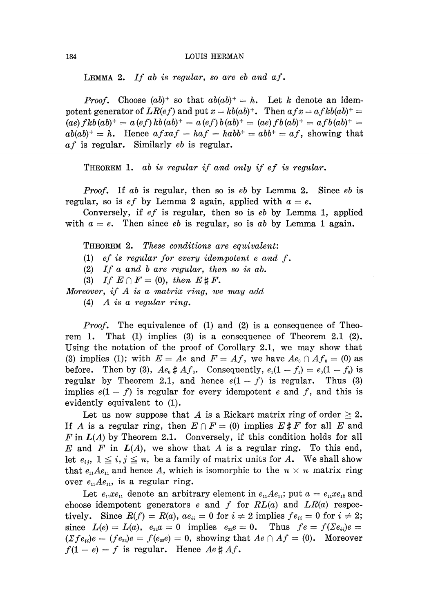#### 184 LOUIS HERMAN

LEMMA 2. If ab is regular, so are  $eb$  and  $af$ .

*Proof.* Choose  $(ab)^+$  so that  $ab(ab)^+ = h$ . Let k denote an idem potent generator of  $LR(ef)$  and put  $x = kb(ab)^+$ . Then  $afx = afkb(ab)^+$  $(ae) fkb(ab)^{+} = a(ef)kb(ab)^{+} = a(ef)b(ab)^{+} = (ae)fb(ab)^{+} = afb(ab)^{+} =$  $ab(ab)^{+} = h$ . Hence  $afxaf = haf = habb^{+} = af$ , showing that  $af$  is regular. Similarly  $eb$  is regular.

THEOREM 1. ab is regular if and only if ef is regular.

*Proof.* If ab is regular, then so is eb by Lemma 2. Since eb is regular, so is  $ef$  by Lemma 2 again, applied with  $a = e$ .

Conversely, if *ef* is regular, then so is *eb* by Lemma 1, applied with  $a = e$ . Then since *eb* is regular, so is *ab* by Lemma 1 again.

THEOREM 2. *These conditions are equivalent:*

(1) *ef is regular for every idempotent e and f.*

(2) / / *a and b are regular, then so is ab.*

(3) If  $E \cap F = (0)$ , then  $E \sharp F$ .

*Moreover, if A is a matrix ring, we may add*

(4) *A is a regular ring.*

*Proof.* The equivalence of (1) and (2) is a consequence of Theo rem 1. That (1) implies (3) is a consequence of Theorem 2.1 (2). Using the notation of the proof of Corollary 2.1, we may show that (3) implies (1); with  $E = Ae$  and  $F = Af$ , we have  $Ae_0 \cap Af_0 = (0)$  as before. Then by (3),  $Ae_0 \sharp A f_0$ . Consequently,  $e_1(1-f_1) = e_0(1-f_0)$  is regular by Theorem 2.1, and hence  $e(1-f)$  is regular. Thus (3) implies  $e(1-f)$  is regular for every idempotent e and f, and this is evidently equivalent to (1).

Let us now suppose that A is a Rickart matrix ring of order  $\geq 2$ . If A is a regular ring, then  $E \cap F = (0)$  implies  $E \sharp F$  for all E and *F* in *L(A)* by Theorem 2.1. Conversely, if this condition holds for all *E* and *F* in *L(A),* we show that A is a regular ring. To this end, let  $e_{ij}$ ,  $1 \leq i, j \leq n$ , be a family of matrix units for *A*. We shall show that  $e_{11}Ae_{11}$  and hence A, which is isomorphic to the  $n \times n$  matrix ring over  $e_{n}Ae_{n}$ , is a regular ring.

Let  $e_{11}xe_{11}$  denote an arbitrary element in  $e_{11}Ae_{11}$ ; put  $a = e_{11}xe_{12}$  and choose idempotent generators e and f for  $RL(a)$  and  $LR(a)$  respectively. Since  $R(f) = R(a)$ ,  $ae_{ii} = 0$  for  $i \neq 2$  implies  $fe_{ii} = 0$  for  $i \neq 2$ ; since  $L(e) = L(a)$ ,  $e_{22}a = 0$  implies  $e_{22}e = 0$ . Thus  $fe = f(\sum e_{ii})e =$  $(\Sigma f e_{ii})e = (f e_{22})e = f(e_{22}e) = 0$ , showing that  $Ae \cap Af = (0)$ . Moreover  $f(1-e) = f$  is regular. Hence  $Ae \# Af$ .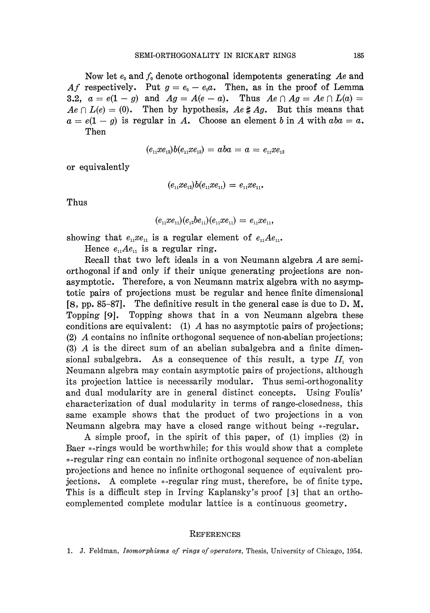Now let  $e_0$  and  $f_0$  denote orthogonal idempotents generating Ae and Af respectively. Put  $g = e_0 - e_0 a$ . Then, as in the proof of Lemma 3.2,  $a = e(1 - g)$  and  $Ag = A(e - a)$ . Thus  $Ae \cap Ag = Ae \cap L(a) =$  $Ae \cap L(e) = (0)$ . Then by hypothesis,  $Ae \# Ag$ . But this means that  $a = e(1 - g)$  is regular in A. Choose an element b in A with  $aba = a$ . Then

$$
(e_{\scriptscriptstyle 11} x e_{\scriptscriptstyle 12}) b(e_{\scriptscriptstyle 11} x e_{\scriptscriptstyle 12}) = aba = a = e_{\scriptscriptstyle 11} x e_{\scriptscriptstyle 12}
$$

or equivalently

$$
(e_{11}xe_{12})b(e_{11}xe_{11})=e_{11}xe_{11}.
$$

Thus

$$
(e_{11}xe_{11})(e_{12}be_{11})(e_{11}xe_{11})=e_{11}xe_{11},
$$

showing that  $e_{11}xe_{11}$  is a regular element of  $e_{11}Ae_{11}$ .

Hence  $e_{n}Ae_{n}$  is a regular ring.

Recall that two left ideals in a von Neumann algebra *A* are semi orthogonal if and only if their unique generating projections are non asymptotic. Therefore, a von Neumann matrix algebra with no asymp totic pairs of projections must be regular and hence finite dimensional [8, pp. 85-87]. The definitive result in the general case is due to D. M. Topping [9]. Topping shows that in a von Neumann algebra these conditions are equivalent: (1) *A* has no asymptotic pairs of projections; (2) *A* contains no infinite orthogonal sequence of non-abelian projections; (3) *A* is the direct sum of an abelian subalgebra and a finite dimen sional subalgebra. As a consequence of this result, a type  $II_1$  von Neumann algebra may contain asymptotic pairs of projections, although its projection lattice is necessarily modular. Thus semi-orthogonality and dual modularity are in general distinct concepts. Using Foulis' characterization of dual modularity in terms of range-closedness, this same example shows that the product of two projections in a von Neumann algebra may have a closed range without being \*-regular.

A simple proof, in the spirit of this paper, of (1) implies (2) in Baer \*-rings would be worthwhile; for this would show that a complete ^-regular ring can contain no infinite orthogonal sequence of non-abelian projections and hence no infinite orthogonal sequence of equivalent pro jections. A complete \*-regular ring must, therefore, be of finite type. This is a difficult step in Irving Kaplansky's proof [3] that an ortho complemented complete modular lattice is a continuous geometry.

#### **REFERENCES**

1. J. Feldman, *Isomorphisms of rings of operators,* Thesis, University of Chicago, 1954.